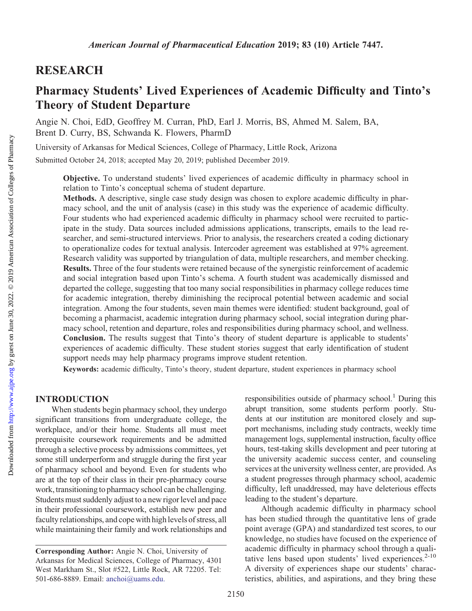# RESEARCH

# Pharmacy Students' Lived Experiences of Academic Difficulty and Tinto's Theory of Student Departure

Angie N. Choi, EdD, Geoffrey M. Curran, PhD, Earl J. Morris, BS, Ahmed M. Salem, BA, Brent D. Curry, BS, Schwanda K. Flowers, PharmD

University of Arkansas for Medical Sciences, College of Pharmacy, Little Rock, Arizona

Submitted October 24, 2018; accepted May 20, 2019; published December 2019.

Objective. To understand students' lived experiences of academic difficulty in pharmacy school in relation to Tinto's conceptual schema of student departure.

Methods. A descriptive, single case study design was chosen to explore academic difficulty in pharmacy school, and the unit of analysis (case) in this study was the experience of academic difficulty. Four students who had experienced academic difficulty in pharmacy school were recruited to participate in the study. Data sources included admissions applications, transcripts, emails to the lead researcher, and semi-structured interviews. Prior to analysis, the researchers created a coding dictionary to operationalize codes for textual analysis. Intercoder agreement was established at 97% agreement. Research validity was supported by triangulation of data, multiple researchers, and member checking. Results. Three of the four students were retained because of the synergistic reinforcement of academic and social integration based upon Tinto's schema. A fourth student was academically dismissed and departed the college, suggesting that too many social responsibilities in pharmacy college reduces time for academic integration, thereby diminishing the reciprocal potential between academic and social integration. Among the four students, seven main themes were identified: student background, goal of becoming a pharmacist, academic integration during pharmacy school, social integration during pharmacy school, retention and departure, roles and responsibilities during pharmacy school, and wellness. Conclusion. The results suggest that Tinto's theory of student departure is applicable to students' experiences of academic difficulty. These student stories suggest that early identification of student support needs may help pharmacy programs improve student retention.

Keywords: academic difficulty, Tinto's theory, student departure, student experiences in pharmacy school

# INTRODUCTION

When students begin pharmacy school, they undergo significant transitions from undergraduate college, the workplace, and/or their home. Students all must meet prerequisite coursework requirements and be admitted through a selective process by admissions committees, yet some still underperform and struggle during the first year of pharmacy school and beyond. Even for students who are at the top of their class in their pre-pharmacy course work, transitioning to pharmacy school can be challenging. Students must suddenly adjust to a new rigor level and pace in their professional coursework, establish new peer and faculty relationships, and cope with high levels of stress, all while maintaining their family and work relationships and responsibilities outside of pharmacy school.<sup>1</sup> During this abrupt transition, some students perform poorly. Students at our institution are monitored closely and support mechanisms, including study contracts, weekly time management logs, supplemental instruction, faculty office hours, test-taking skills development and peer tutoring at the university academic success center, and counseling services at the university wellness center, are provided. As a student progresses through pharmacy school, academic difficulty, left unaddressed, may have deleterious effects leading to the student's departure.

Although academic difficulty in pharmacy school has been studied through the quantitative lens of grade point average (GPA) and standardized test scores, to our knowledge, no studies have focused on the experience of academic difficulty in pharmacy school through a qualitative lens based upon students' lived experiences. $2-10$ A diversity of experiences shape our students' characteristics, abilities, and aspirations, and they bring these

Corresponding Author: Angie N. Choi, University of Arkansas for Medical Sciences, College of Pharmacy, 4301 West Markham St., Slot #522, Little Rock, AR 72205. Tel: 501-686-8889. Email: [anchoi@uams.edu.](mailto:anchoi@uams.edu)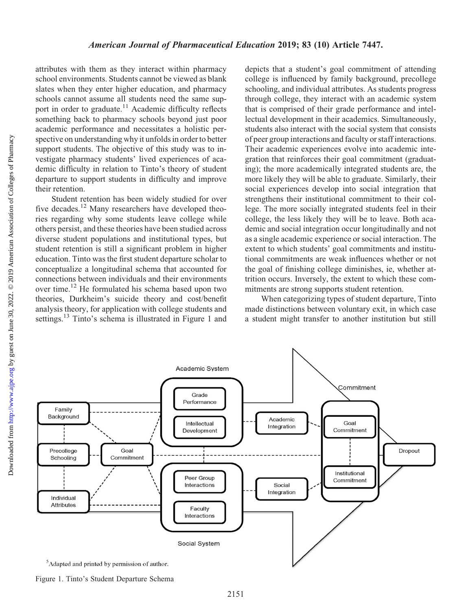attributes with them as they interact within pharmacy school environments. Students cannot be viewed as blank slates when they enter higher education, and pharmacy schools cannot assume all students need the same support in order to graduate.<sup>11</sup> Academic difficulty reflects something back to pharmacy schools beyond just poor academic performance and necessitates a holistic perspective on understanding why it unfolds in order to better support students. The objective of this study was to investigate pharmacy students' lived experiences of academic difficulty in relation to Tinto's theory of student departure to support students in difficulty and improve their retention.

Student retention has been widely studied for over five decades.<sup>12</sup> Many researchers have developed theories regarding why some students leave college while others persist, and these theories have been studied across diverse student populations and institutional types, but student retention is still a significant problem in higher education. Tinto was the first student departure scholar to conceptualize a longitudinal schema that accounted for connections between individuals and their environments over time.<sup>12</sup> He formulated his schema based upon two theories, Durkheim's suicide theory and cost/benefit analysis theory, for application with college students and settings.<sup>13</sup> Tinto's schema is illustrated in Figure 1 and

depicts that a student's goal commitment of attending college is influenced by family background, precollege schooling, and individual attributes. As students progress through college, they interact with an academic system that is comprised of their grade performance and intellectual development in their academics. Simultaneously, students also interact with the social system that consists of peer group interactions and faculty or staff interactions. Their academic experiences evolve into academic integration that reinforces their goal commitment (graduating); the more academically integrated students are, the more likely they will be able to graduate. Similarly, their social experiences develop into social integration that strengthens their institutional commitment to their college. The more socially integrated students feel in their college, the less likely they will be to leave. Both academic and social integration occur longitudinally and not as a single academic experience or social interaction. The extent to which students' goal commitments and institutional commitments are weak influences whether or not the goal of finishing college diminishes, ie, whether attrition occurs. Inversely, the extent to which these commitments are strong supports student retention.

When categorizing types of student departure, Tinto made distinctions between voluntary exit, in which case a student might transfer to another institution but still



<sup>&</sup>lt;sup>5</sup>Adapted and printed by permission of author.

Figure 1. Tinto's Student Departure Schema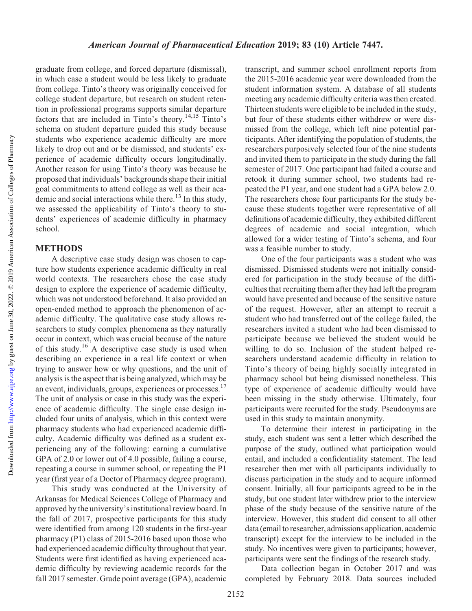Downloaded from http://www.ajpe.org by guest on June 30, 2022. @ 2019 American Association of Colleges of Pharmacy by guest on June 30, 2022. © 2019 American Association of Colleges of Pharmacy <http://www.ajpe.org> Downloaded from

graduate from college, and forced departure (dismissal), in which case a student would be less likely to graduate from college. Tinto's theory was originally conceived for college student departure, but research on student retention in professional programs supports similar departure factors that are included in Tinto's theory.14,15 Tinto's schema on student departure guided this study because students who experience academic difficulty are more likely to drop out and or be dismissed, and students' experience of academic difficulty occurs longitudinally. Another reason for using Tinto's theory was because he proposed that individuals' backgrounds shape their initial goal commitments to attend college as well as their academic and social interactions while there.<sup>13</sup> In this study, we assessed the applicability of Tinto's theory to students' experiences of academic difficulty in pharmacy school.

## METHODS

A descriptive case study design was chosen to capture how students experience academic difficulty in real world contexts. The researchers chose the case study design to explore the experience of academic difficulty, which was not understood beforehand. It also provided an open-ended method to approach the phenomenon of academic difficulty. The qualitative case study allows researchers to study complex phenomena as they naturally occur in context, which was crucial because of the nature of this study.<sup>16</sup> A descriptive case study is used when describing an experience in a real life context or when trying to answer how or why questions, and the unit of analysis is the aspect that is being analyzed, which may be an event, individuals, groups, experiences or processes.<sup>17</sup> The unit of analysis or case in this study was the experience of academic difficulty. The single case design included four units of analysis, which in this context were pharmacy students who had experienced academic difficulty. Academic difficulty was defined as a student experiencing any of the following: earning a cumulative GPA of 2.0 or lower out of 4.0 possible, failing a course, repeating a course in summer school, or repeating the P1 year (first year of a Doctor of Pharmacy degree program).

This study was conducted at the University of Arkansas for Medical Sciences College of Pharmacy and approved by the university's institutional review board. In the fall of 2017, prospective participants for this study were identified from among 120 students in the first-year pharmacy (P1) class of 2015-2016 based upon those who had experienced academic difficulty throughout that year. Students were first identified as having experienced academic difficulty by reviewing academic records for the fall 2017 semester. Grade point average (GPA), academic

transcript, and summer school enrollment reports from the 2015-2016 academic year were downloaded from the student information system. A database of all students meeting any academic difficulty criteria was then created. Thirteen students were eligible to be included in the study, but four of these students either withdrew or were dismissed from the college, which left nine potential participants. After identifying the population of students, the researchers purposively selected four of the nine students and invited them to participate in the study during the fall semester of 2017. One participant had failed a course and retook it during summer school, two students had repeated the P1 year, and one student had a GPA below 2.0. The researchers chose four participants for the study because these students together were representative of all definitions of academic difficulty, they exhibited different degrees of academic and social integration, which allowed for a wider testing of Tinto's schema, and four was a feasible number to study.

One of the four participants was a student who was dismissed. Dismissed students were not initially considered for participation in the study because of the difficulties that recruiting them after they had left the program would have presented and because of the sensitive nature of the request. However, after an attempt to recruit a student who had transferred out of the college failed, the researchers invited a student who had been dismissed to participate because we believed the student would be willing to do so. Inclusion of the student helped researchers understand academic difficulty in relation to Tinto's theory of being highly socially integrated in pharmacy school but being dismissed nonetheless. This type of experience of academic difficulty would have been missing in the study otherwise. Ultimately, four participants were recruited for the study. Pseudonyms are used in this study to maintain anonymity.

To determine their interest in participating in the study, each student was sent a letter which described the purpose of the study, outlined what participation would entail, and included a confidentiality statement. The lead researcher then met with all participants individually to discuss participation in the study and to acquire informed consent. Initially, all four participants agreed to be in the study, but one student later withdrew prior to the interview phase of the study because of the sensitive nature of the interview. However, this student did consent to all other data (email to researcher, admissions application, academic transcript) except for the interview to be included in the study. No incentives were given to participants; however, participants were sent the findings of the research study.

Data collection began in October 2017 and was completed by February 2018. Data sources included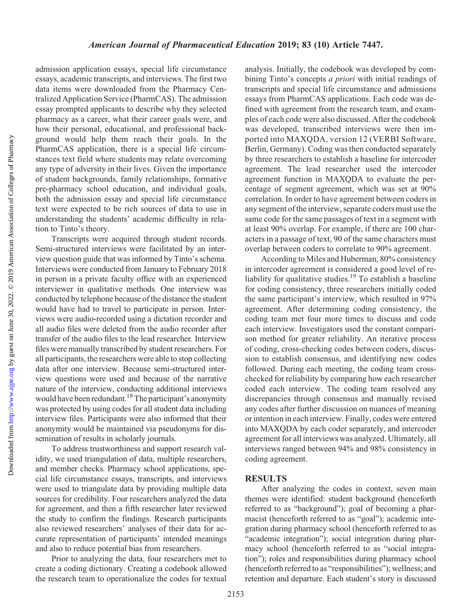admission application essays, special life circumstance essays, academic transcripts, and interviews. The first two data items were downloaded from the Pharmacy Centralized Application Service (PharmCAS). The admission essay prompted applicants to describe why they selected pharmacy as a career, what their career goals were, and how their personal, educational, and professional background would help them reach their goals. In the PharmCAS application, there is a special life circumstances text field where students may relate overcoming any type of adversity in their lives. Given the importance of student backgrounds, family relationships, formative pre-pharmacy school education, and individual goals, both the admission essay and special life circumstance text were expected to be rich sources of data to use in understanding the students' academic difficulty in relation to Tinto's theory.

Transcripts were acquired through student records. Semi-structured interviews were facilitated by an interview question guide that was informed by Tinto's schema. Interviews were conducted from January to February 2018 in person in a private faculty office with an experienced interviewer in qualitative methods. One interview was conducted by telephone because of the distance the student would have had to travel to participate in person. Interviews were audio-recorded using a dictation recorder and all audio files were deleted from the audio recorder after transfer of the audio files to the lead researcher. Interview files were manually transcribed by student researchers. For all participants, the researchers were able to stop collecting data after one interview. Because semi-structured interview questions were used and because of the narrative nature of the interview, conducting additional interviews would have been redundant.<sup>18</sup> The participant's anonymity was protected by using codes for all student data including interview files. Participants were also informed that their anonymity would be maintained via pseudonyms for dissemination of results in scholarly journals.

To address trustworthiness and support research validity, we used triangulation of data, multiple researchers, and member checks. Pharmacy school applications, special life circumstance essays, transcripts, and interviews were used to triangulate data by providing multiple data sources for credibility. Four researchers analyzed the data for agreement, and then a fifth researcher later reviewed the study to confirm the findings. Research participants also reviewed researchers' analyses of their data for accurate representation of participants' intended meanings and also to reduce potential bias from researchers.

Prior to analyzing the data, four researchers met to create a coding dictionary. Creating a codebook allowed the research team to operationalize the codes for textual analysis. Initially, the codebook was developed by combining Tinto's concepts *a priori* with initial readings of transcripts and special life circumstance and admissions essays from PharmCAS applications. Each code was defined with agreement from the research team, and examples of each code were also discussed. After the codebook was developed, transcribed interviews were then imported into MAXQDA, version 12 (VERBI Software, Berlin, Germany). Coding was then conducted separately by three researchers to establish a baseline for intercoder agreement. The lead researcher used the intercoder agreement function in MAXQDA to evaluate the percentage of segment agreement, which was set at 90% correlation. In order to have agreement between coders in any segment of the interview, separate coders must use the same code for the same passages of text in a segment with at least 90% overlap. For example, if there are 100 characters in a passage of text, 90 of the same characters must overlap between coders to correlate to 90% agreement.

According to Miles and Huberman, 80% consistency in intercoder agreement is considered a good level of reliability for qualitative studies.<sup>19</sup> To establish a baseline for coding consistency, three researchers initially coded the same participant's interview, which resulted in 97% agreement. After determining coding consistency, the coding team met four more times to discuss and code each interview. Investigators used the constant comparison method for greater reliability. An iterative process of coding, cross-checking codes between coders, discussion to establish consensus, and identifying new codes followed. During each meeting, the coding team crosschecked for reliability by comparing how each researcher coded each interview. The coding team resolved any discrepancies through consensus and manually revised any codes after further discussion on nuances of meaning or intention in each interview. Finally, codes were entered into MAXQDA by each coder separately, and intercoder agreement for all interviews was analyzed. Ultimately, all interviews ranged between 94% and 98% consistency in coding agreement.

## RESULTS

After analyzing the codes in context, seven main themes were identified: student background (henceforth referred to as "background"); goal of becoming a pharmacist (henceforth referred to as "goal"); academic integration during pharmacy school (henceforth referred to as "academic integration"); social integration during pharmacy school (henceforth referred to as "social integration"); roles and responsibilities during pharmacy school (henceforth referred to as "responsibilities"); wellness; and retention and departure. Each student's story is discussed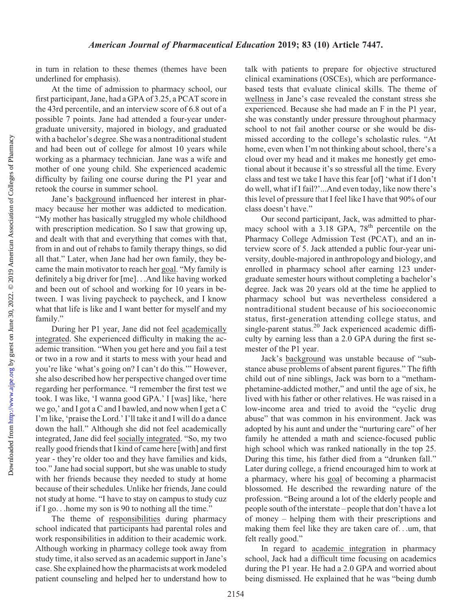in turn in relation to these themes (themes have been underlined for emphasis).

At the time of admission to pharmacy school, our first participant, Jane, had a GPA of 3.25, a PCAT score in the 43rd percentile, and an interview score of 6.8 out of a possible 7 points. Jane had attended a four-year undergraduate university, majored in biology, and graduated with a bachelor's degree. She was a nontraditional student and had been out of college for almost 10 years while working as a pharmacy technician. Jane was a wife and mother of one young child. She experienced academic difficulty by failing one course during the P1 year and retook the course in summer school.

Jane's background influenced her interest in pharmacy because her mother was addicted to medication. "My mother has basically struggled my whole childhood with prescription medication. So I saw that growing up, and dealt with that and everything that comes with that, from in and out of rehabs to family therapy things, so did all that." Later, when Jane had her own family, they became the main motivator to reach her goal. "My family is definitely a big driver for [me]...And like having worked and been out of school and working for 10 years in between. I was living paycheck to paycheck, and I know what that life is like and I want better for myself and my family."

During her P1 year, Jane did not feel academically integrated. She experienced difficulty in making the academic transition. "When you get here and you fail a test or two in a row and it starts to mess with your head and you're like 'what's going on? I can't do this.'" However, she also described how her perspective changed over time regarding her performance. "I remember the first test we took. I was like, 'I wanna good GPA.' I [was] like, 'here we go,' and I got a C and I bawled, and now when I get a C I'm like, 'praise the Lord.' I'll take it and I will do a dance down the hall." Although she did not feel academically integrated, Jane did feel socially integrated. "So, my two really good friends that I kind of came here [with] and first year - they're older too and they have families and kids, too." Jane had social support, but she was unable to study with her friends because they needed to study at home because of their schedules. Unlike her friends, Jane could not study at home. "I have to stay on campus to study cuz if I go...home my son is 90 to nothing all the time."

The theme of responsibilities during pharmacy school indicated that participants had parental roles and work responsibilities in addition to their academic work. Although working in pharmacy college took away from study time, it also served as an academic support in Jane's case. She explained how the pharmacists at work modeled patient counseling and helped her to understand how to

talk with patients to prepare for objective structured clinical examinations (OSCEs), which are performancebased tests that evaluate clinical skills. The theme of wellness in Jane's case revealed the constant stress she experienced. Because she had made an F in the P1 year, she was constantly under pressure throughout pharmacy school to not fail another course or she would be dismissed according to the college's scholastic rules. "At home, even when I'm not thinking about school, there's a cloud over my head and it makes me honestly get emotional about it because it's so stressful all the time. Every class and test we take I have this fear [of] 'what if I don't do well, what if I fail?'...And even today, like now there's this level of pressure that I feel like I have that 90% of our class doesn't have."

Our second participant, Jack, was admitted to pharmacy school with a  $3.18$  GPA,  $78<sup>th</sup>$  percentile on the Pharmacy College Admission Test (PCAT), and an interview score of 5. Jack attended a public four-year university, double-majored in anthropology and biology, and enrolled in pharmacy school after earning 123 undergraduate semester hours without completing a bachelor's degree. Jack was 20 years old at the time he applied to pharmacy school but was nevertheless considered a nontraditional student because of his socioeconomic status, first-generation attending college status, and single-parent status.<sup>20</sup> Jack experienced academic difficulty by earning less than a 2.0 GPA during the first semester of the P1 year.

Jack's background was unstable because of "substance abuse problems of absent parent figures." The fifth child out of nine siblings, Jack was born to a "methamphetamine-addicted mother," and until the age of six, he lived with his father or other relatives. He was raised in a low-income area and tried to avoid the "cyclic drug abuse" that was common in his environment. Jack was adopted by his aunt and under the "nurturing care" of her family he attended a math and science-focused public high school which was ranked nationally in the top 25. During this time, his father died from a "drunken fall." Later during college, a friend encouraged him to work at a pharmacy, where his goal of becoming a pharmacist blossomed. He described the rewarding nature of the profession. "Being around a lot of the elderly people and people south of the interstate – people that don't have a lot of money – helping them with their prescriptions and making them feel like they are taken care of...um, that felt really good."

In regard to academic integration in pharmacy school, Jack had a difficult time focusing on academics during the P1 year. He had a 2.0 GPA and worried about being dismissed. He explained that he was "being dumb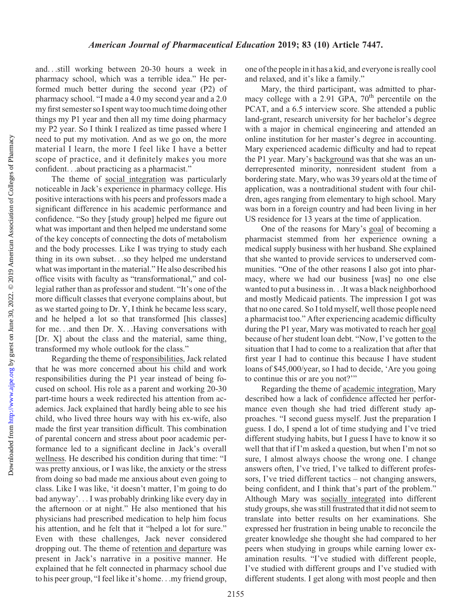and...still working between 20-30 hours a week in pharmacy school, which was a terrible idea." He performed much better during the second year (P2) of pharmacy school. "I made a 4.0 my second year and a 2.0 my first semester so I spent way too much time doing other things my P1 year and then all my time doing pharmacy my P2 year. So I think I realized as time passed where I need to put my motivation. And as we go on, the more material I learn, the more I feel like I have a better scope of practice, and it definitely makes you more confident...about practicing as a pharmacist."

The theme of social integration was particularly noticeable in Jack's experience in pharmacy college. His positive interactions with his peers and professors made a significant difference in his academic performance and confidence. "So they [study group] helped me figure out what was important and then helped me understand some of the key concepts of connecting the dots of metabolism and the body processes. Like I was trying to study each thing in its own subset...so they helped me understand what was important in the material." He also described his office visits with faculty as "transformational," and collegial rather than as professor and student. "It's one of the more difficult classes that everyone complains about, but as we started going to Dr. Y, I think he became less scary, and he helped a lot so that transformed [his classes] for me...and then Dr. X...Having conversations with [Dr. X] about the class and the material, same thing, transformed my whole outlook for the class."

Regarding the theme of responsibilities, Jack related that he was more concerned about his child and work responsibilities during the P1 year instead of being focused on school. His role as a parent and working 20-30 part-time hours a week redirected his attention from academics. Jack explained that hardly being able to see his child, who lived three hours way with his ex-wife, also made the first year transition difficult. This combination of parental concern and stress about poor academic performance led to a significant decline in Jack's overall wellness. He described his condition during that time: "I was pretty anxious, or I was like, the anxiety or the stress from doing so bad made me anxious about even going to class. Like I was like, 'it doesn't matter, I'm going to do bad anyway'... I was probably drinking like every day in the afternoon or at night." He also mentioned that his physicians had prescribed medication to help him focus his attention, and he felt that it "helped a lot for sure." Even with these challenges, Jack never considered dropping out. The theme of retention and departure was present in Jack's narrative in a positive manner. He explained that he felt connected in pharmacy school due to his peer group, "I feel like it's home...my friend group,

one of the people in it has a kid, and everyone is really cool and relaxed, and it's like a family."

Mary, the third participant, was admitted to pharmacy college with a 2.91 GPA,  $70<sup>th</sup>$  percentile on the PCAT, and a 6.5 interview score. She attended a public land-grant, research university for her bachelor's degree with a major in chemical engineering and attended an online institution for her master's degree in accounting. Mary experienced academic difficulty and had to repeat the P1 year. Mary's background was that she was an underrepresented minority, nonresident student from a bordering state. Mary, who was 39 years old at the time of application, was a nontraditional student with four children, ages ranging from elementary to high school. Mary was born in a foreign country and had been living in her US residence for 13 years at the time of application.

One of the reasons for Mary's goal of becoming a pharmacist stemmed from her experience owning a medical supply business with her husband. She explained that she wanted to provide services to underserved communities. "One of the other reasons I also got into pharmacy, where we had our business [was] no one else wanted to put a business in...It was a black neighborhood and mostly Medicaid patients. The impression I got was that no one cared. So I told myself, well those people need a pharmacist too." After experiencing academic difficulty during the P1 year, Mary was motivated to reach her goal because of her student loan debt. "Now, I've gotten to the situation that I had to come to a realization that after that first year I had to continue this because I have student loans of \$45,000/year, so I had to decide, 'Are you going to continue this or are you not?'"

Regarding the theme of academic integration, Mary described how a lack of confidence affected her performance even though she had tried different study approaches. "I second guess myself. Just the preparation I guess. I do, I spend a lot of time studying and I've tried different studying habits, but I guess I have to know it so well that that if I'm asked a question, but when I'm not so sure, I almost always choose the wrong one. I change answers often, I've tried, I've talked to different professors, I've tried different tactics – not changing answers, being confident, and I think that's part of the problem." Although Mary was socially integrated into different study groups, she was still frustrated that it did not seem to translate into better results on her examinations. She expressed her frustration in being unable to reconcile the greater knowledge she thought she had compared to her peers when studying in groups while earning lower examination results. "I've studied with different people, I've studied with different groups and I've studied with different students. I get along with most people and then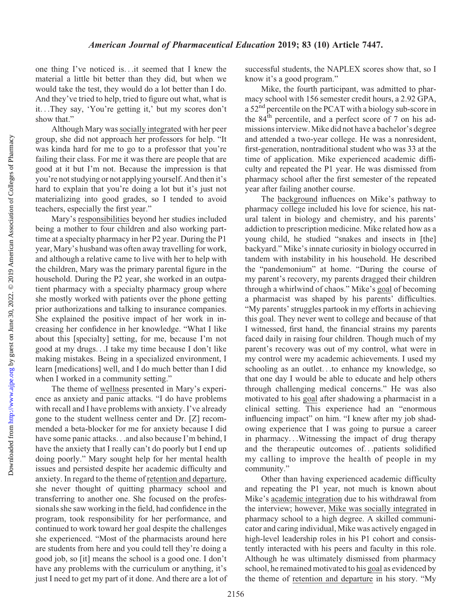#### American Journal of Pharmaceutical Education 2019; 83 (10) Article 7447.

one thing I've noticed is...it seemed that I knew the material a little bit better than they did, but when we would take the test, they would do a lot better than I do. And they've tried to help, tried to figure out what, what is it...They say, 'You're getting it,' but my scores don't show that."

Although Mary wassocially integrated with her peer group, she did not approach her professors for help. "It was kinda hard for me to go to a professor that you're failing their class. For me it was there are people that are good at it but I'm not. Because the impression is that you're not studying or not applying yourself. And then it's hard to explain that you're doing a lot but it's just not materializing into good grades, so I tended to avoid teachers, especially the first year."

Mary's responsibilities beyond her studies included being a mother to four children and also working parttime at a specialty pharmacy in her P2 year. During the P1 year, Mary's husband was often away travelling for work, and although a relative came to live with her to help with the children, Mary was the primary parental figure in the household. During the P2 year, she worked in an outpatient pharmacy with a specialty pharmacy group where she mostly worked with patients over the phone getting prior authorizations and talking to insurance companies. She explained the positive impact of her work in increasing her confidence in her knowledge. "What I like about this [specialty] setting, for me, because I'm not good at my drugs...I take my time because I don't like making mistakes. Being in a specialized environment, I learn [medications] well, and I do much better than I did when I worked in a community setting."

The theme of wellness presented in Mary's experience as anxiety and panic attacks. "I do have problems with recall and I have problems with anxiety. I've already gone to the student wellness center and Dr. [Z] recommended a beta-blocker for me for anxiety because I did have some panic attacks...and also because I'm behind, I have the anxiety that I really can't do poorly but I end up doing poorly." Mary sought help for her mental health issues and persisted despite her academic difficulty and anxiety. In regard to the theme of retention and departure, she never thought of quitting pharmacy school and transferring to another one. She focused on the professionals she saw working in the field, had confidence in the program, took responsibility for her performance, and continued to work toward her goal despite the challenges she experienced. "Most of the pharmacists around here are students from here and you could tell they're doing a good job, so [it] means the school is a good one. I don't have any problems with the curriculum or anything, it's just I need to get my part of it done. And there are a lot of successful students, the NAPLEX scores show that, so I know it's a good program."

Mike, the fourth participant, was admitted to pharmacy school with 156 semester credit hours, a 2.92 GPA, a 52<sup>nd</sup> percentile on the PCAT with a biology sub-score in the  $84<sup>th</sup>$  percentile, and a perfect score of 7 on his admissions interview. Mike did not have a bachelor's degree and attended a two-year college. He was a nonresident, first-generation, nontraditional student who was 33 at the time of application. Mike experienced academic difficulty and repeated the P1 year. He was dismissed from pharmacy school after the first semester of the repeated year after failing another course.

The background influences on Mike's pathway to pharmacy college included his love for science, his natural talent in biology and chemistry, and his parents' addiction to prescription medicine. Mike related how as a young child, he studied "snakes and insects in [the] backyard." Mike's innate curiosity in biology occurred in tandem with instability in his household. He described the "pandemonium" at home. "During the course of my parent's recovery, my parents dragged their children through a whirlwind of chaos." Mike's goal of becoming a pharmacist was shaped by his parents' difficulties. "My parents' struggles partook in my efforts in achieving this goal. They never went to college and because of that I witnessed, first hand, the financial strains my parents faced daily in raising four children. Though much of my parent's recovery was out of my control, what were in my control were my academic achievements. I used my schooling as an outlet...to enhance my knowledge, so that one day I would be able to educate and help others through challenging medical concerns." He was also motivated to his goal after shadowing a pharmacist in a clinical setting. This experience had an "enormous influencing impact" on him. "I knew after my job shadowing experience that I was going to pursue a career in pharmacy...Witnessing the impact of drug therapy and the therapeutic outcomes of...patients solidified my calling to improve the health of people in my community."

Other than having experienced academic difficulty and repeating the P1 year, not much is known about Mike's academic integration due to his withdrawal from the interview; however, Mike was socially integrated in pharmacy school to a high degree. A skilled communicator and caring individual, Mike was actively engaged in high-level leadership roles in his P1 cohort and consistently interacted with his peers and faculty in this role. Although he was ultimately dismissed from pharmacy school, he remained motivated to his goal as evidenced by the theme of retention and departure in his story. "My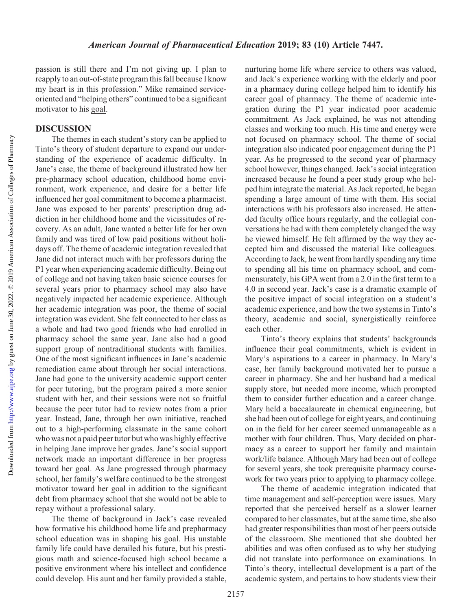passion is still there and I'm not giving up. I plan to reapply to an out-of-state program this fall because I know my heart is in this profession." Mike remained serviceoriented and "helping others" continued to be a significant motivator to his goal.

#### DISCUSSION

The themes in each student's story can be applied to Tinto's theory of student departure to expand our understanding of the experience of academic difficulty. In Jane's case, the theme of background illustrated how her pre-pharmacy school education, childhood home environment, work experience, and desire for a better life influenced her goal commitment to become a pharmacist. Jane was exposed to her parents' prescription drug addiction in her childhood home and the vicissitudes of recovery. As an adult, Jane wanted a better life for her own family and was tired of low paid positions without holidays off. The theme of academic integration revealed that Jane did not interact much with her professors during the P1 year when experiencing academic difficulty. Being out of college and not having taken basic science courses for several years prior to pharmacy school may also have negatively impacted her academic experience. Although her academic integration was poor, the theme of social integration was evident. She felt connected to her class as a whole and had two good friends who had enrolled in pharmacy school the same year. Jane also had a good support group of nontraditional students with families. One of the most significant influences in Jane's academic remediation came about through her social interactions. Jane had gone to the university academic support center for peer tutoring, but the program paired a more senior student with her, and their sessions were not so fruitful because the peer tutor had to review notes from a prior year. Instead, Jane, through her own initiative, reached out to a high-performing classmate in the same cohort who was not a paid peer tutor but who was highly effective in helping Jane improve her grades. Jane's social support network made an important difference in her progress toward her goal. As Jane progressed through pharmacy school, her family's welfare continued to be the strongest motivator toward her goal in addition to the significant debt from pharmacy school that she would not be able to repay without a professional salary.

The theme of background in Jack's case revealed how formative his childhood home life and prepharmacy school education was in shaping his goal. His unstable family life could have derailed his future, but his prestigious math and science-focused high school became a positive environment where his intellect and confidence could develop. His aunt and her family provided a stable,

nurturing home life where service to others was valued, and Jack's experience working with the elderly and poor in a pharmacy during college helped him to identify his career goal of pharmacy. The theme of academic integration during the P1 year indicated poor academic commitment. As Jack explained, he was not attending classes and working too much. His time and energy were not focused on pharmacy school. The theme of social integration also indicated poor engagement during the P1 year. As he progressed to the second year of pharmacy school however, things changed. Jack's social integration increased because he found a peer study group who helped him integrate the material. As Jack reported, he began spending a large amount of time with them. His social interactions with his professors also increased. He attended faculty office hours regularly, and the collegial conversations he had with them completely changed the way he viewed himself. He felt affirmed by the way they accepted him and discussed the material like colleagues. According to Jack, he went from hardly spending any time to spending all his time on pharmacy school, and commensurately, his GPA went from a 2.0 in the first term to a 4.0 in second year. Jack's case is a dramatic example of the positive impact of social integration on a student's academic experience, and how the two systems in Tinto's theory, academic and social, synergistically reinforce each other.

Tinto's theory explains that students' backgrounds influence their goal commitments, which is evident in Mary's aspirations to a career in pharmacy. In Mary's case, her family background motivated her to pursue a career in pharmacy. She and her husband had a medical supply store, but needed more income, which prompted them to consider further education and a career change. Mary held a baccalaureate in chemical engineering, but she had been out of college for eight years, and continuing on in the field for her career seemed unmanageable as a mother with four children. Thus, Mary decided on pharmacy as a career to support her family and maintain work/life balance. Although Mary had been out of college for several years, she took prerequisite pharmacy coursework for two years prior to applying to pharmacy college.

The theme of academic integration indicated that time management and self-perception were issues. Mary reported that she perceived herself as a slower learner compared to her classmates, but at the same time, she also had greater responsibilities than most of her peers outside of the classroom. She mentioned that she doubted her abilities and was often confused as to why her studying did not translate into performance on examinations. In Tinto's theory, intellectual development is a part of the academic system, and pertains to how students view their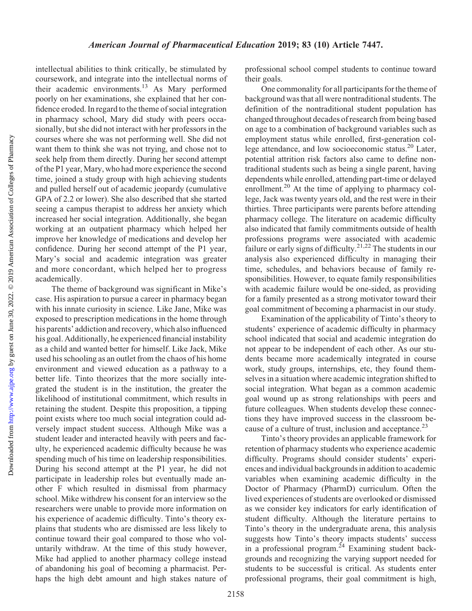intellectual abilities to think critically, be stimulated by coursework, and integrate into the intellectual norms of their academic environments.13 As Mary performed poorly on her examinations, she explained that her confidence eroded. In regard to the theme of social integration in pharmacy school, Mary did study with peers occasionally, but she did not interact with her professors in the courses where she was not performing well. She did not want them to think she was not trying, and chose not to seek help from them directly. During her second attempt of the P1 year, Mary, who had more experience the second time, joined a study group with high achieving students and pulled herself out of academic jeopardy (cumulative GPA of 2.2 or lower). She also described that she started seeing a campus therapist to address her anxiety which increased her social integration. Additionally, she began working at an outpatient pharmacy which helped her improve her knowledge of medications and develop her confidence. During her second attempt of the P1 year, Mary's social and academic integration was greater and more concordant, which helped her to progress academically.

The theme of background was significant in Mike's case. His aspiration to pursue a career in pharmacy began with his innate curiosity in science. Like Jane, Mike was exposed to prescription medications in the home through his parents' addiction and recovery, which also influenced his goal. Additionally, he experienced financial instability as a child and wanted better for himself. Like Jack, Mike used his schooling as an outlet from the chaos of his home environment and viewed education as a pathway to a better life. Tinto theorizes that the more socially integrated the student is in the institution, the greater the likelihood of institutional commitment, which results in retaining the student. Despite this proposition, a tipping point exists where too much social integration could adversely impact student success. Although Mike was a student leader and interacted heavily with peers and faculty, he experienced academic difficulty because he was spending much of his time on leadership responsibilities. During his second attempt at the P1 year, he did not participate in leadership roles but eventually made another F which resulted in dismissal from pharmacy school. Mike withdrew his consent for an interview so the researchers were unable to provide more information on his experience of academic difficulty. Tinto's theory explains that students who are dismissed are less likely to continue toward their goal compared to those who voluntarily withdraw. At the time of this study however, Mike had applied to another pharmacy college instead of abandoning his goal of becoming a pharmacist. Perhaps the high debt amount and high stakes nature of professional school compel students to continue toward their goals.

One commonality for all participants for the theme of background was that all were nontraditional students. The definition of the nontraditional student population has changed throughout decades of research from being based on age to a combination of background variables such as employment status while enrolled, first-generation college attendance, and low socioeconomic status.<sup>20</sup> Later, potential attrition risk factors also came to define nontraditional students such as being a single parent, having dependents while enrolled, attending part-time or delayed enrollment.<sup>20</sup> At the time of applying to pharmacy college, Jack was twenty years old, and the rest were in their thirties. Three participants were parents before attending pharmacy college. The literature on academic difficulty also indicated that family commitments outside of health professions programs were associated with academic failure or early signs of difficulty.<sup>21,22</sup> The students in our analysis also experienced difficulty in managing their time, schedules, and behaviors because of family responsibilities. However, to equate family responsibilities with academic failure would be one-sided, as providing for a family presented as a strong motivator toward their goal commitment of becoming a pharmacist in our study.

Examination of the applicability of Tinto's theory to students' experience of academic difficulty in pharmacy school indicated that social and academic integration do not appear to be independent of each other. As our students became more academically integrated in course work, study groups, internships, etc, they found themselves in a situation where academic integration shifted to social integration. What began as a common academic goal wound up as strong relationships with peers and future colleagues. When students develop these connections they have improved success in the classroom because of a culture of trust, inclusion and acceptance.<sup>23</sup>

Tinto's theory provides an applicable framework for retention of pharmacy students who experience academic difficulty. Programs should consider students' experiences and individual backgrounds in addition to academic variables when examining academic difficulty in the Doctor of Pharmacy (PharmD) curriculum. Often the lived experiences of students are overlooked or dismissed as we consider key indicators for early identification of student difficulty. Although the literature pertains to Tinto's theory in the undergraduate arena, this analysis suggests how Tinto's theory impacts students' success in a professional program.<sup>24</sup> Examining student backgrounds and recognizing the varying support needed for students to be successful is critical. As students enter professional programs, their goal commitment is high,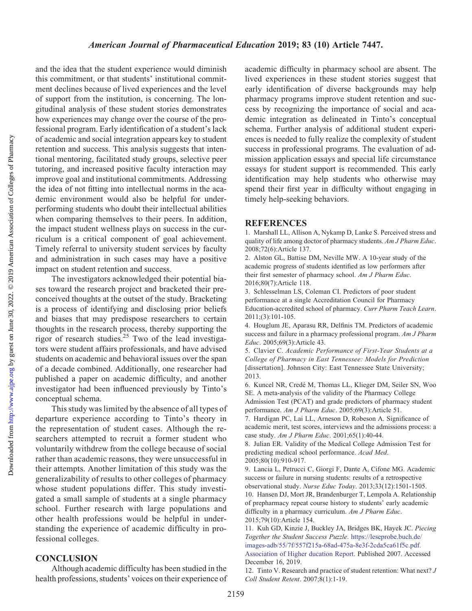and the idea that the student experience would diminish this commitment, or that students' institutional commitment declines because of lived experiences and the level of support from the institution, is concerning. The longitudinal analysis of these student stories demonstrates how experiences may change over the course of the professional program. Early identification of a student's lack of academic and social integration appears key to student retention and success. This analysis suggests that intentional mentoring, facilitated study groups, selective peer tutoring, and increased positive faculty interaction may improve goal and institutional commitments. Addressing the idea of not fitting into intellectual norms in the academic environment would also be helpful for underperforming students who doubt their intellectual abilities when comparing themselves to their peers. In addition, the impact student wellness plays on success in the curriculum is a critical component of goal achievement. Timely referral to university student services by faculty and administration in such cases may have a positive impact on student retention and success.

The investigators acknowledged their potential biases toward the research project and bracketed their preconceived thoughts at the outset of the study. Bracketing is a process of identifying and disclosing prior beliefs and biases that may predispose researchers to certain thoughts in the research process, thereby supporting the rigor of research studies.25 Two of the lead investigators were student affairs professionals, and have advised students on academic and behavioral issues over the span of a decade combined. Additionally, one researcher had published a paper on academic difficulty, and another investigator had been influenced previously by Tinto's conceptual schema.

This study was limited by the absence of all types of departure experience according to Tinto's theory in the representation of student cases. Although the researchers attempted to recruit a former student who voluntarily withdrew from the college because of social rather than academic reasons, they were unsuccessful in their attempts. Another limitation of this study was the generalizability of results to other colleges of pharmacy whose student populations differ. This study investigated a small sample of students at a single pharmacy school. Further research with large populations and other health professions would be helpful in understanding the experience of academic difficulty in professional colleges.

#### **CONCLUSION**

Although academic difficulty has been studied in the health professions, students' voices on their experience of academic difficulty in pharmacy school are absent. The lived experiences in these student stories suggest that early identification of diverse backgrounds may help pharmacy programs improve student retention and success by recognizing the importance of social and academic integration as delineated in Tinto's conceptual schema. Further analysis of additional student experiences is needed to fully realize the complexity of student success in professional programs. The evaluation of admission application essays and special life circumstance essays for student support is recommended. This early identification may help students who otherwise may spend their first year in difficulty without engaging in timely help-seeking behaviors.

#### **REFERENCES**

1. Marshall LL, Allison A, Nykamp D, Lanke S. Perceived stress and quality of life among doctor of pharmacy students. Am J Pharm Educ. 2008;72(6):Article 137.

2. Alston GL, Battise DM, Neville MW. A 10-year study of the academic progress of students identified as low performers after their first semester of pharmacy school. Am J Pharm Educ. 2016;80(7):Article 118.

3. Schlesselman LS, Coleman CI. Predictors of poor student performance at a single Accreditation Council for Pharmacy Education-accredited school of pharmacy. Curr Pharm Teach Learn. 2011;(3):101-105.

4. Houglum JE, Aparasu RR, Delfinis TM. Predictors of academic success and failure in a pharmacy professional program. Am J Pharm Educ. 2005;69(3):Article 43.

5. Clavier C. Academic Performance of First-Year Students at a College of Pharmacy in East Tennessee: Models for Prediction [dissertation]. Johnson City: East Tennessee State University; 2013.

6. Kuncel NR, Crede´ M, Thomas LL, Klieger DM, Seiler SN, Woo SE. A meta-analysis of the validity of the Pharmacy College Admission Test (PCAT) and grade predictors of pharmacy student performance. Am J Pharm Educ. 2005;69(3):Article 51.

7. Hardigan PC, Lai LL, Arneson D, Robeson A. Significance of academic merit, test scores, interviews and the admissions process: a case study. Am J Pharm Educ. 2001;65(1):40-44.

8. Julian ER. Validity of the Medical College Admission Test for predicting medical school performance. Acad Med. 2005;80(10):910-917.

9. Lancia L, Petrucci C, Giorgi F, Dante A, Cifone MG. Academic success or failure in nursing students: results of a retrospective observational study. Nurse Educ Today. 2013;33(12):1501-1505. 10. Hansen DJ, Mort JR, Brandenburger T, Lempola A. Relationship of prepharmacy repeat course history to students' early academic

difficulty in a pharmacy curriculum. Am J Pharm Educ. 2015;79(10):Article 154.

11. Kuh GD, Kinzie J, Buckley JA, Bridges BK, Hayek JC. Piecing Together the Student Success Puzzle. [https://leseprobe.buch.de/](https://leseprobe.buch.de/images-adb/55/7f/557f215a-68ad-475a-8e3f-2cda5ca61f5c.pdf&tnqh_x3c;i&tnqh_x3e;.&tnqh_x3c;/i&tnqh_x3e;%20Association%20of%20Higher%20Education%20Report) [images-adb/55/7f/557f215a-68ad-475a-8e3f-2cda5ca61f5c.pdf.](https://leseprobe.buch.de/images-adb/55/7f/557f215a-68ad-475a-8e3f-2cda5ca61f5c.pdf&tnqh_x3c;i&tnqh_x3e;.&tnqh_x3c;/i&tnqh_x3e;%20Association%20of%20Higher%20Education%20Report) [Association of Higher ducation Report.](https://leseprobe.buch.de/images-adb/55/7f/557f215a-68ad-475a-8e3f-2cda5ca61f5c.pdf&tnqh_x3c;i&tnqh_x3e;.&tnqh_x3c;/i&tnqh_x3e;%20Association%20of%20Higher%20Education%20Report) Published 2007. Accessed December 16, 2019.

12. Tinto V. Research and practice of student retention: What next? J Coll Student Retent. 2007;8(1):1-19.